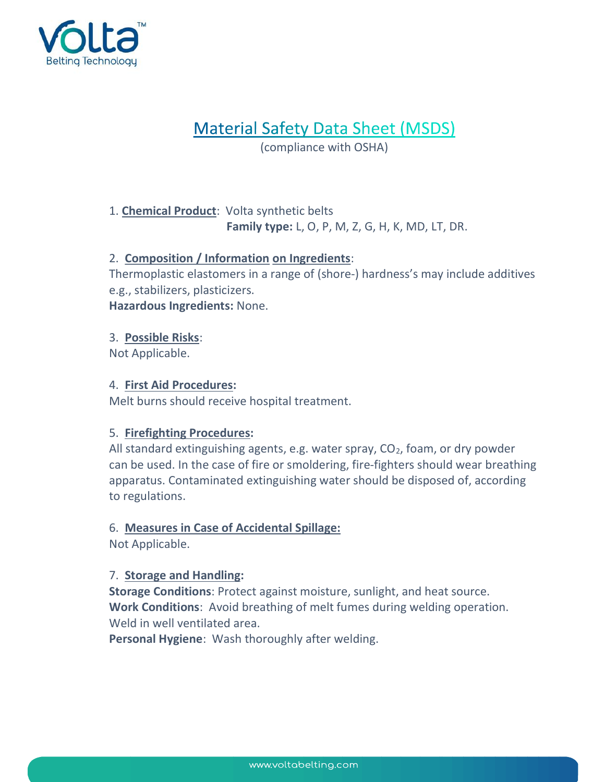

# **Material Safety Data Sheet (MSDS)**

(compliance with OSHA)

# 1. **Chemical Product:** Volta synthetic belts Family type: L, O, P, M, Z, G, H, K, MD, LT, DR.

# 2. Composition / Information on Ingredients:

Thermoplastic elastomers in a range of (shore-) hardness's may include additives e.g., stabilizers, plasticizers.

Hazardous Ingredients: None.

# 3. Possible Risks:

Not Applicable.

# 4. First Aid Procedures:

Melt burns should receive hospital treatment.

# 5. Firefighting Procedures:

All standard extinguishing agents, e.g. water spray,  $CO<sub>2</sub>$ , foam, or dry powder can be used. In the case of fire or smoldering, fire-fighters should wear breathing apparatus. Contaminated extinguishing water should be disposed of, according to regulations.

# 6. Measures in Case of Accidental Spillage:

Not Applicable.

# 7. Storage and Handling:

Storage Conditions: Protect against moisture, sunlight, and heat source. Work Conditions: Avoid breathing of melt fumes during welding operation. Weld in well ventilated area.

Personal Hygiene: Wash thoroughly after welding.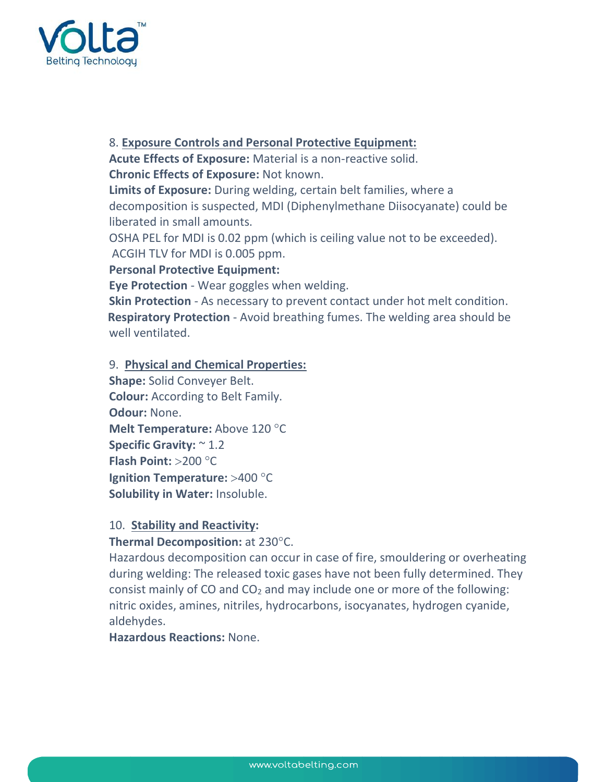

#### 8. Exposure Controls and Personal Protective Equipment:

Acute Effects of Exposure: Material is a non-reactive solid. Chronic Effects of Exposure: Not known.

Limits of Exposure: During welding, certain belt families, where a decomposition is suspected, MDI (Diphenylmethane Diisocyanate) could be liberated in small amounts.

OSHA PEL for MDI is 0.02 ppm (which is ceiling value not to be exceeded). ACGIH TLV for MDI is 0.005 ppm.

# Personal Protective Equipment:

Eye Protection - Wear goggles when welding.

Skin Protection - As necessary to prevent contact under hot melt condition. **Respiratory Protection** - Avoid breathing fumes. The welding area should be well ventilated.

#### 9. Physical and Chemical Properties:

```
Shape: Solid Conveyer Belt. 
Colour: According to Belt Family. 
Odour: None. 
Melt Temperature: Above 120 °C
Specific Gravity: \approx 1.2
Flash Point: > 200 °C
Ignition Temperature: >400 °C
Solubility in Water: Insoluble.
```
#### 10. Stability and Reactivity:

# Thermal Decomposition: at  $230^{\circ}$ C.

Hazardous decomposition can occur in case of fire, smouldering or overheating during welding: The released toxic gases have not been fully determined. They consist mainly of CO and  $CO<sub>2</sub>$  and may include one or more of the following: nitric oxides, amines, nitriles, hydrocarbons, isocyanates, hydrogen cyanide, aldehydes.

Hazardous Reactions: None.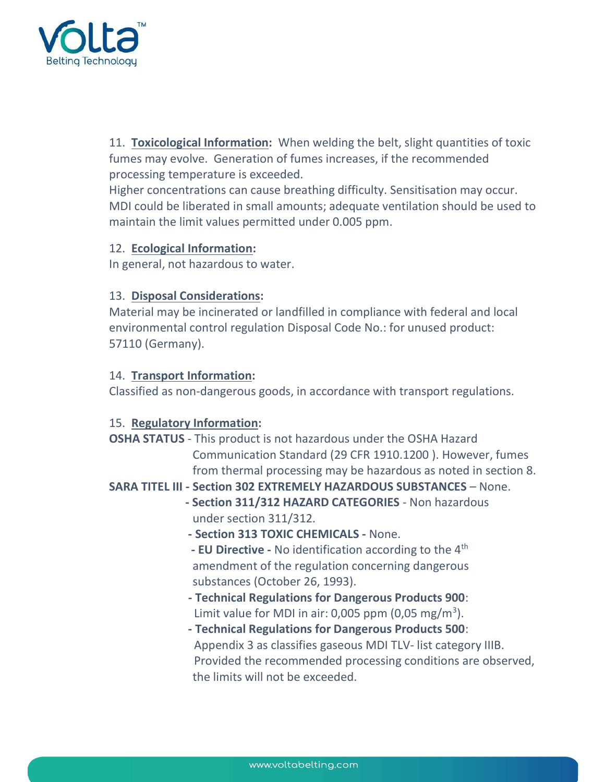

11. Toxicological Information: When welding the belt, slight quantities of toxic fumes may evolve. Generation of fumes increases, if the recommended processing temperature is exceeded.

Higher concentrations can cause breathing difficulty. Sensitisation may occur. MDI could be liberated in small amounts; adequate ventilation should be used to maintain the limit values permitted under 0.005 ppm.

#### 12. Ecological Information:

In general, not hazardous to water.

# 13. Disposal Considerations:

Material may be incinerated or landfilled in compliance with federal and local environmental control regulation Disposal Code No.: for unused product: 57110 (Germany).

#### 14. Transport Information:

Classified as non-dangerous goods, in accordance with transport regulations.

# 15. Regulatory Information:

OSHA STATUS - This product is not hazardous under the OSHA Hazard Communication Standard (29 CFR 1910.1200 ). However, fumes from thermal processing may be hazardous as noted in section 8.

# SARA TITEL III - Section 302 EXTREMELY HAZARDOUS SUBSTANCES – None.

- Section 311/312 HAZARD CATEGORIES Non hazardous under section 311/312.
	- Section 313 TOXIC CHEMICALS None.
- EU Directive No identification according to the 4<sup>th</sup> amendment of the regulation concerning dangerous substances (October 26, 1993).
- Technical Regulations for Dangerous Products 900: Limit value for MDI in air: 0,005 ppm  $(0,05 \text{ mg/m}^3)$ .
	- Technical Regulations for Dangerous Products 500: Appendix 3 as classifies gaseous MDI TLV- list category IIIB. Provided the recommended processing conditions are observed, the limits will not be exceeded.